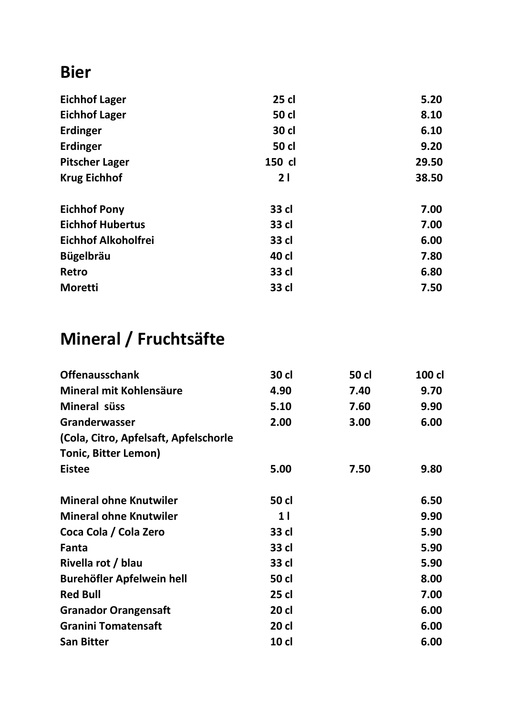#### **Bier**

| 25 cl        | 5.20  |
|--------------|-------|
| <b>50 cl</b> | 8.10  |
| 30 cl        | 6.10  |
| <b>50 cl</b> | 9.20  |
| 150 cl       | 29.50 |
| 21           | 38.50 |
| 33 cl        | 7.00  |
| 33 cl        | 7.00  |
| 33 cl        | 6.00  |
| 40 cl        | 7.80  |
| 33 cl        | 6.80  |
| 33 cl        | 7.50  |
|              |       |

# **Mineral / Fruchtsäfte**

| 30 cl          | 50 cl | 100 cl |
|----------------|-------|--------|
| 4.90           | 7.40  | 9.70   |
| 5.10           | 7.60  | 9.90   |
| 2.00           | 3.00  | 6.00   |
|                |       |        |
|                |       |        |
| 5.00           | 7.50  | 9.80   |
| 50 cl          |       | 6.50   |
| 1 <sup>1</sup> |       | 9.90   |
| 33 cl          |       | 5.90   |
| 33 cl          |       | 5.90   |
| 33 cl          |       | 5.90   |
| 50 cl          |       | 8.00   |
| 25 cl          |       | 7.00   |
| 20 cl          |       | 6.00   |
| 20 cl          |       | 6.00   |
| $10$ cl        |       | 6.00   |
|                |       |        |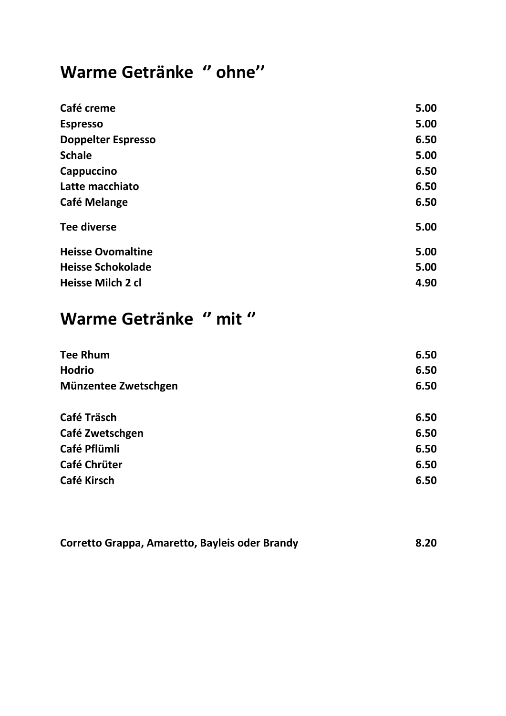#### **Warme Getränke '' ohne''**

| Café creme                | 5.00 |
|---------------------------|------|
| <b>Espresso</b>           | 5.00 |
| <b>Doppelter Espresso</b> | 6.50 |
| <b>Schale</b>             | 5.00 |
| Cappuccino                | 6.50 |
| Latte macchiato           | 6.50 |
| Café Melange              | 6.50 |
| <b>Tee diverse</b>        | 5.00 |
| <b>Heisse Ovomaltine</b>  | 5.00 |
| <b>Heisse Schokolade</b>  | 5.00 |
| Heisse Milch 2 cl         | 4.90 |
|                           |      |

# **Warme Getränke '' mit ''**

| 6.50 |
|------|
| 6.50 |
| 6.50 |
| 6.50 |
| 6.50 |
| 6.50 |
| 6.50 |
| 6.50 |
|      |

| Corretto Grappa, Amaretto, Bayleis oder Brandy | 8.20 |
|------------------------------------------------|------|
|                                                |      |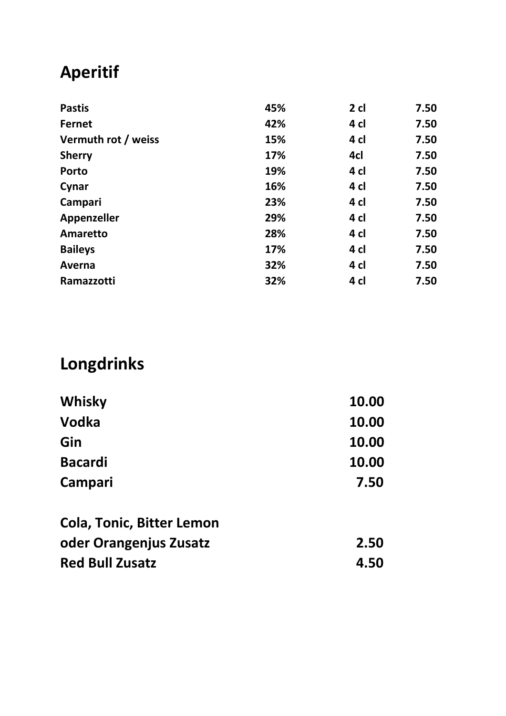# **Aperitif**

| <b>Pastis</b>       | 45% | 2 <sub>cl</sub> | 7.50 |
|---------------------|-----|-----------------|------|
| <b>Fernet</b>       | 42% | 4 cl            | 7.50 |
| Vermuth rot / weiss | 15% | 4 cl            | 7.50 |
| <b>Sherry</b>       | 17% | 4cl             | 7.50 |
| <b>Porto</b>        | 19% | 4 cl            | 7.50 |
| Cynar               | 16% | 4 cl            | 7.50 |
| Campari             | 23% | 4 cl            | 7.50 |
| <b>Appenzeller</b>  | 29% | 4 cl            | 7.50 |
| Amaretto            | 28% | 4 cl            | 7.50 |
| <b>Baileys</b>      | 17% | 4 cl            | 7.50 |
| Averna              | 32% | 4 cl            | 7.50 |
| Ramazzotti          | 32% | 4 cl            | 7.50 |
|                     |     |                 |      |

# **Longdrinks**

| 10.00 |
|-------|
| 10.00 |
| 10.00 |
| 7.50  |
|       |

| <b>Cola, Tonic, Bitter Lemon</b> |      |
|----------------------------------|------|
| oder Orangenjus Zusatz           | 2.50 |
| <b>Red Bull Zusatz</b>           | 4.50 |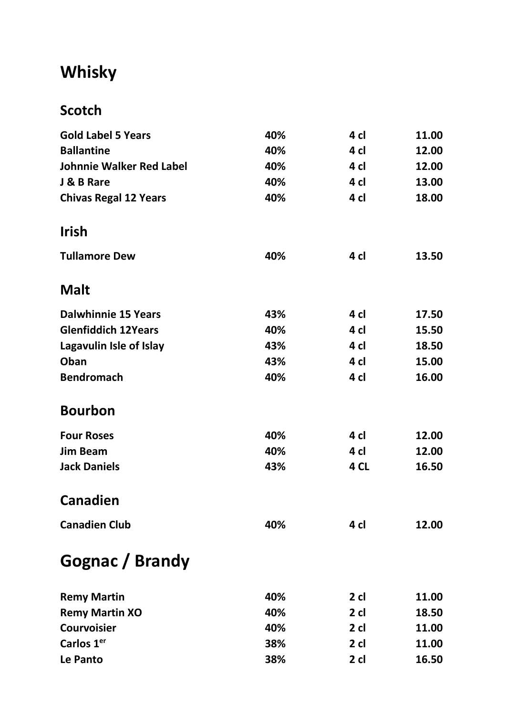# **Whisky**

#### **Scotch**

| <b>Gold Label 5 Years</b>       | 40% | 4 cl   | 11.00 |
|---------------------------------|-----|--------|-------|
| <b>Ballantine</b>               | 40% | 4 cl   | 12.00 |
| <b>Johnnie Walker Red Label</b> | 40% | 4 cl   | 12.00 |
| J & B Rare                      | 40% | 4 cl   | 13.00 |
| <b>Chivas Regal 12 Years</b>    | 40% | 4 cl   | 18.00 |
| <b>Irish</b>                    |     |        |       |
| <b>Tullamore Dew</b>            | 40% | 4 cl   | 13.50 |
| <b>Malt</b>                     |     |        |       |
| <b>Dalwhinnie 15 Years</b>      | 43% | 4 cl   | 17.50 |
| <b>Glenfiddich 12Years</b>      | 40% | 4 cl   | 15.50 |
| Lagavulin Isle of Islay         | 43% | 4 cl   | 18.50 |
| Oban                            | 43% | 4 cl   | 15.00 |
| <b>Bendromach</b>               | 40% | 4 cl   | 16.00 |
| <b>Bourbon</b>                  |     |        |       |
| <b>Four Roses</b>               | 40% | 4 cl   | 12.00 |
| <b>Jim Beam</b>                 | 40% | 4 cl   | 12.00 |
| <b>Jack Daniels</b>             | 43% | 4 CL   | 16.50 |
| <b>Canadien</b>                 |     |        |       |
| <b>Canadien Club</b>            | 40% | 4 cl   | 12.00 |
| Gognac / Brandy                 |     |        |       |
| <b>Remy Martin</b>              | 40% | $2$ cl | 11.00 |
| <b>Remy Martin XO</b>           | 40% | $2$ cl | 18.50 |
| <b>Courvoisier</b>              | 40% | $2$ cl | 11.00 |
| Carlos 1 <sup>er</sup>          | 38% | $2$ cl | 11.00 |
| Le Panto                        | 38% | $2$ cl | 16.50 |